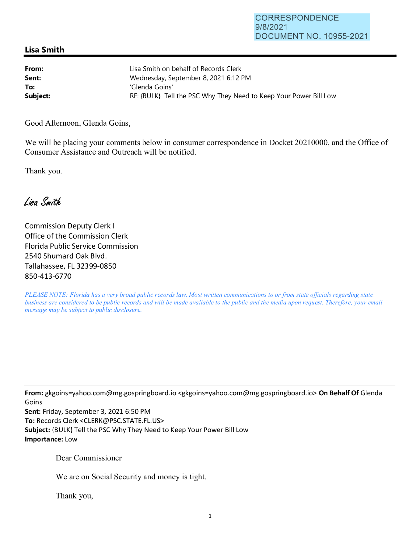## **Lisa Smith**

| From:    | Lisa Smith on behalf of Records Clerk                             |
|----------|-------------------------------------------------------------------|
| Sent:    | Wednesday, September 8, 2021 6:12 PM                              |
| To:      | 'Glenda Goins'                                                    |
| Subject: | RE: {BULK} Tell the PSC Why They Need to Keep Your Power Bill Low |

Good Afternoon, Glenda Goins,

We will be placing your comments below in consumer correspondence in Docket 20210000, and the Office of Consumer Assistance and Outreach will be notified.

Thank you.

Lisa Smith

Commission Deputy Clerk I Office of the Commission Clerk Florida Public Service Commission 2540 Shumard Oak Blvd. Tallahassee, FL 32399-0850 850-413-6770

*PLEASE NOTE: Florida has a very broad public records law. Most written communications to or from state officials regarding state business are considered to be public records and will be made available to the public and the media upon request. Therefore, your email message may be subject to public disclosure.* 

**From:** gkgoins=yahoo.com@mg.gospringboard.io <gkgoins=yahoo.com@mg.gospringboard.io> **On Behalf Of** Glenda Goins

**Sent:** Friday, September 3, 2021 6:50 PM **To:** Records Clerk <CLERK@PSC.STATE.FL.US> **Subject:** {BULK} Tell the PSC Why They Need to Keep Your Power Bill Low **Importance:** Low

Dear Commissioner

We are on Social Security and money is tight.

Thank you,